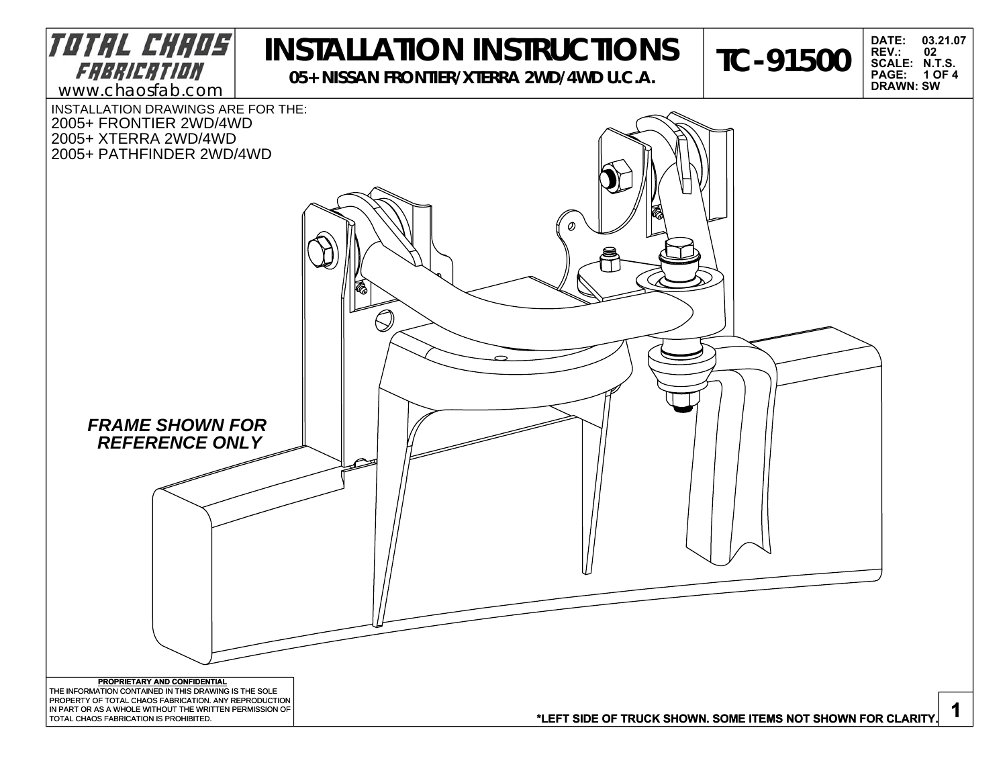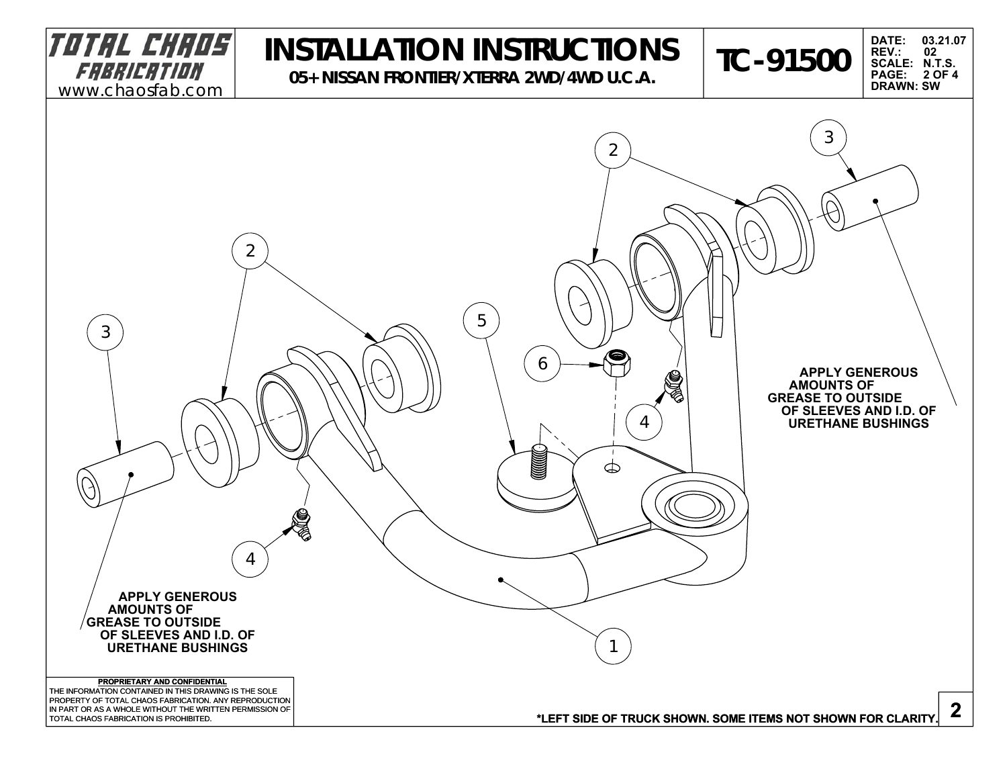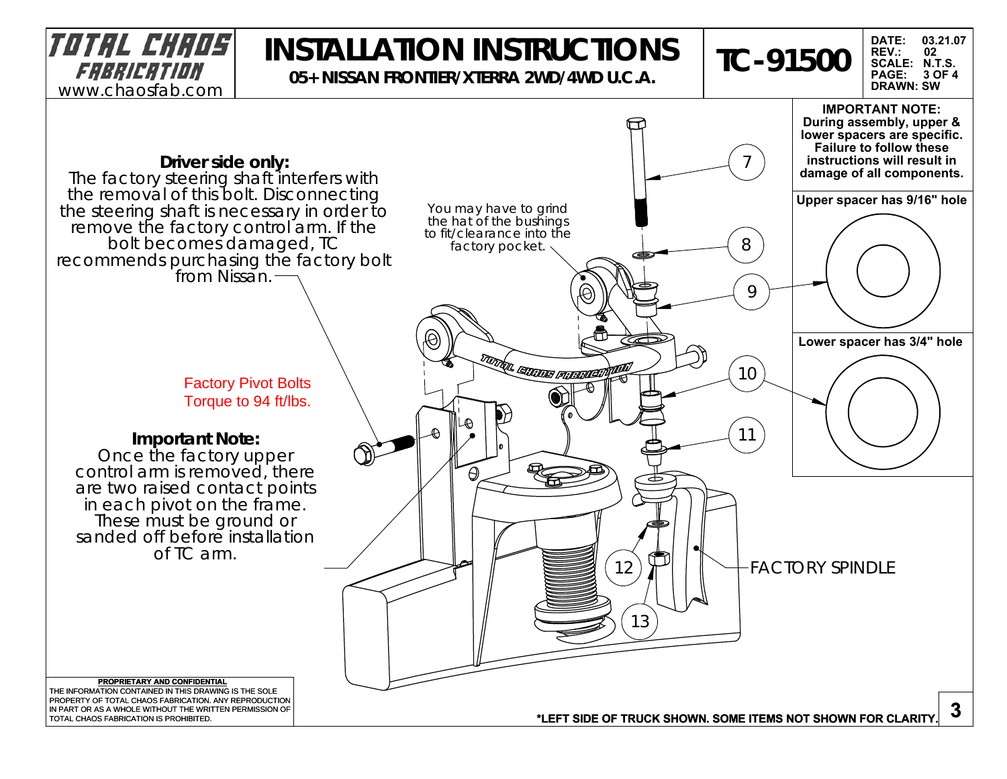